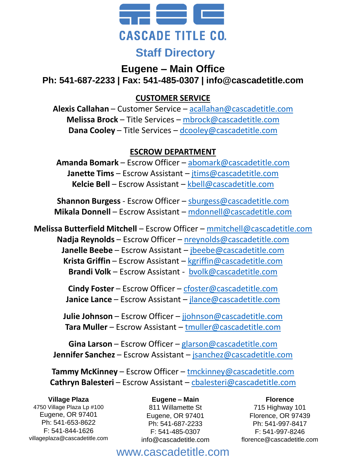

## **Eugene – Main Office**

**Ph: 541-687-2233 | Fax: 541-485-0307 | info@cascadetitle.com**

## **CUSTOMER SERVICE**

**Alexis Callahan** – Customer Service – [acallahan@cascadetitle.com](mailto:acallahan@cascadetitle.com) **Melissa Brock** – Title Services – [mbrock@cascadetitle.com](mailto:mbrock@cascadetitle.com) **Dana Cooley** – Title Services – [dcooley@cascadetitle.com](mailto:dcooley@cascadetitle.com)

## **ESCROW DEPARTMENT**

**Amanda Bomark** – Escrow Officer – [abomark@cascadetitle.com](mailto:abomark@cascadetitle.com) **Janette Tims** – Escrow Assistant – [jtims@cascadetitle.com](mailto:jtims@cascadetitle.com) **Kelcie Bell** – Escrow Assistant – [kbell@cascadetitle.com](mailto:kbell@cascadetitle.com)

**Shannon Burgess** - Escrow Officer – [sburgess@cascadetitle.com](mailto:sburgess@cascadetitle.com) **Mikala Donnell** – Escrow Assistant – [mdonnell@cascadetitle.com](mailto:mdonnell@cascadetitle.com)

**Melissa Butterfield Mitchell** – Escrow Officer – [mmitchell@cascadetitle.com](mailto:mmitchell@cascadetitle.com) **Nadja Reynolds** – Escrow Officer – [nreynolds@cascadetitle.com](mailto:nreynolds@cascadetitle.com) **Janelle Beebe** – Escrow Assistant – [jbeebe@cascadetitle.com](mailto:jbeebe@cascadetitle.com) **Krista Griffin** – Escrow Assistant – [kgriffin@cascadetitle.com](mailto:kgriffith@cascadetitle.com) **Brandi Volk** – Escrow Assistant - [bvolk@cascadetitle.com](mailto:bvolk@cascadetitle.com)

> **Cindy Foster** – Escrow Officer – [cfoster@cascadetitle.com](mailto:cfoster@cascadetitle.com) **Janice Lance** – Escrow Assistant – [jlance@cascadetitle.com](mailto:jlance@cascadetitle.com)

**Julie Johnson** – Escrow Officer – [jjohnson@cascadetitle.com](mailto:jjohnson@cascadetitle.com) **Tara Muller** – Escrow Assistant – [tmuller@cascadetitle.com](mailto:tmuller@cascadetitle.com)

**Gina Larson** – Escrow Officer – [glarson@cascadetitle.com](mailto:glarson@cascadetitle.com) **Jennifer Sanchez** – Escrow Assistant – [jsanchez@cascadetitle.com](mailto:jsanchez@cascadetitle.com)

**Tammy McKinney** – Escrow Officer – [tmckinney@cascadetitle.com](mailto:tmckinney@cascadetitle.com) **Cathryn Balesteri** – Escrow Assistant – [cbalesteri@cascadetitle.com](mailto:cbalesteri@cascadetitle.com)

**Village Plaza** 4750 Village Plaza Lp #100 Eugene, OR 97401 Ph: 541-653-8622 F: 541-844-1626 villageplaza@cascadetitle.com

#### **Eugene – Main** 811 Willamette St Eugene, OR 97401 Ph: 541-687-2233 F: 541-485-0307 info@cascadetitle.com

**Florence** 715 Highway 101 Florence, OR 97439 Ph: 541-997-8417 F: 541-997-8246

florence@cascadetitle.com

# www.cascadetitle.com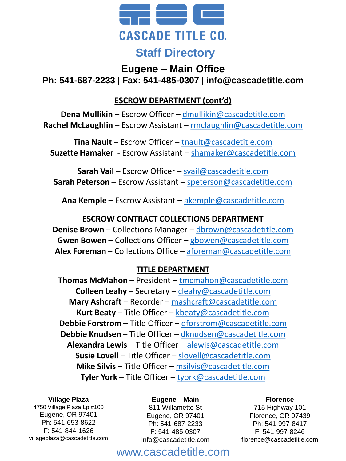

# **Eugene – Main Office Ph: 541-687-2233 | Fax: 541-485-0307 | info@cascadetitle.com**

## **ESCROW DEPARTMENT (cont'd)**

**Dena Mullikin** – Escrow Officer – [dmullikin@cascadetitle.com](mailto:dmullikin@cascadetitle.com) **Rachel McLaughlin** – Escrow Assistant – [rmclaughlin@cascadetitle.com](mailto:rmclaughlin@cascadetitle.com)

**Tina Nault** – Escrow Officer – [tnault@cascadetitle.com](mailto:tnault@cascadetitle.com) **Suzette Hamaker** - Escrow Assistant – [shamaker@cascadetitle.com](mailto:shamaker@cascadetitle.com)

**Sarah Vail** – Escrow Officer – [svail@cascadetitle.com](mailto:svail@cascadetitle.com) **Sarah Peterson** – Escrow Assistant – [speterson@cascadetitle.com](mailto:speterson@cascadetitle.com)

**Ana Kemple** – Escrow Assistant – [akemple@cascadetitle.com](mailto:akemple@cascadetitle.com)

### **ESCROW CONTRACT COLLECTIONS DEPARTMENT**

**Denise Brown** – Collections Manager – [dbrown@cascadetitle.com](mailto:dbrown@cascadetitle.com) **Gwen Bowen** – Collections Officer – [gbowen@cascadetitle.com](mailto:gbowen@cascadetitle.com) **Alex Foreman** – Collections Office – [aforeman@cascadetitle.com](mailto:aforeman@cascadetitle.com)

## **TITLE DEPARTMENT**

**Thomas McMahon** – President – [tmcmahon@cascadetitle.com](mailto:tmcmahon@cascadetitle.com) **Colleen Leahy** – Secretary – [cleahy@cascadetitle.com](mailto:cleahy@cascadetitle.com) **Mary Ashcraft** – Recorder – [mashcraft@cascadetitle.com](mailto:mashcraft@cascadetitle.com) **Kurt Beaty** – Title Officer – [kbeaty@cascadetitle.com](mailto:kbeaty@cascadetitle.com) **Debbie Forstrom** – Title Officer – [dforstrom@cascadetitle.com](mailto:dforstrom@cascadetitle.com) **Debbie Knudsen** – Title Officer – [dknudsen@cascadetitle.com](mailto:dknudsen@cascadetitle.com) **Alexandra Lewis** – Title Officer – [alewis@cascadetitle.com](mailto:alewis@cascadetitle.com) **Susie Lovell** – Title Officer – [slovell@cascadetitle.com](mailto:slovell@cascadetitle.com) **Mike Silvis** – Title Officer – [msilvis@cascadetitle.com](mailto:msilvis@cascadetitle.com) **Tyler York** – Title Officer – [tyork@cascadetitle.com](mailto:tyork@cascadetitle.com)

**Village Plaza** 4750 Village Plaza Lp #100 Eugene, OR 97401 Ph: 541-653-8622 F: 541-844-1626 villageplaza@cascadetitle.com

#### **Eugene – Main**

811 Willamette St Eugene, OR 97401 Ph: 541-687-2233 F: 541-485-0307 info@cascadetitle.com

#### **Florence**

715 Highway 101 Florence, OR 97439 Ph: 541-997-8417 F: 541-997-8246 florence@cascadetitle.com

# www.cascadetitle.com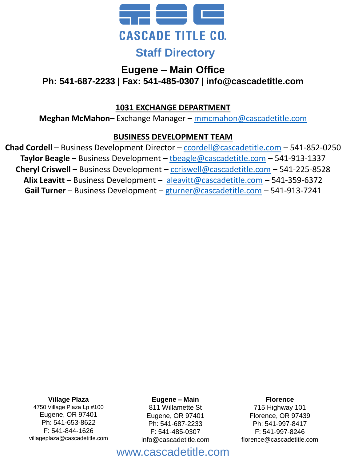

# **Eugene – Main Office**

**Ph: 541-687-2233 | Fax: 541-485-0307 | info@cascadetitle.com**

## **1031 EXCHANGE DEPARTMENT**

**Meghan McMahon**– Exchange Manager – [mmcmahon@cascadetitle.com](mailto:mmcmahon@cascadetitle.com)

## **BUSINESS DEVELOPMENT TEAM**

**Chad Cordell** – Business Development Director – [ccordell@cascadetitle.com](mailto:ccordell@cascadetitle.com) – 541-852-0250 **Taylor Beagle** – Business Development – [tbeagle@cascadetitle.com](mailto:tbeagle@cascadetitle.com) – 541-913-1337 **Cheryl Criswell –** Business Development – [ccriswell@cascadetitle.com](mailto:ccriswell@cascadetitle.com) – 541-225-8528 **Alix Leavitt** – Business Development – [aleavitt@cascadetitle.com](mailto:aleavitt@cascadetitle.com) – 541-359-6372 **Gail Turner** – Business Development – [gturner@cascadetitle.com](mailto:gturner@cascadetitle.com) – 541-913-7241

**Village Plaza**

4750 Village Plaza Lp #100 Eugene, OR 97401 Ph: 541-653-8622 F: 541-844-1626 villageplaza@cascadetitle.com

#### **Eugene – Main**

811 Willamette St Eugene, OR 97401 Ph: 541-687-2233 F: 541-485-0307 info@cascadetitle.com

#### **Florence**

715 Highway 101 Florence, OR 97439 Ph: 541-997-8417 F: 541-997-8246 florence@cascadetitle.com

# www.cascadetitle.com